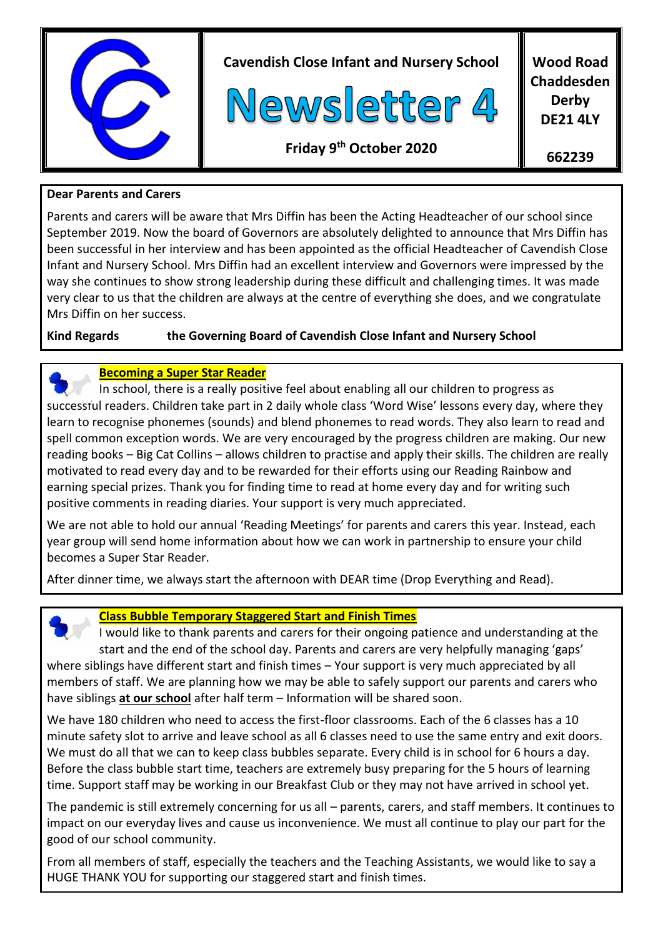

**Cavendish Close Infant and Nursery School**



**Wood Road Chaddesden Derby DE21 4LY**

**662239**

**Friday 9 th October 2020**

# **Dear Parents and Carers**

Parents and carers will be aware that Mrs Diffin has been the Acting Headteacher of our school since September 2019. Now the board of Governors are absolutely delighted to announce that Mrs Diffin has been successful in her interview and has been appointed as the official Headteacher of Cavendish Close Infant and Nursery School. Mrs Diffin had an excellent interview and Governors were impressed by the way she continues to show strong leadership during these difficult and challenging times. It was made very clear to us that the children are always at the centre of everything she does, and we congratulate Mrs Diffin on her success.

# **Kind Regards the Governing Board of Cavendish Close Infant and Nursery School**

### **Becoming a Super Star Reader**

 In school, there is a really positive feel about enabling all our children to progress as successful readers. Children take part in 2 daily whole class 'Word Wise' lessons every day, where they learn to recognise phonemes (sounds) and blend phonemes to read words. They also learn to read and spell common exception words. We are very encouraged by the progress children are making. Our new reading books – Big Cat Collins – allows children to practise and apply their skills. The children are really motivated to read every day and to be rewarded for their efforts using our Reading Rainbow and earning special prizes. Thank you for finding time to read at home every day and for writing such positive comments in reading diaries. Your support is very much appreciated.

We are not able to hold our annual 'Reading Meetings' for parents and carers this year. Instead, each year group will send home information about how we can work in partnership to ensure your child becomes a Super Star Reader.

After dinner time, we always start the afternoon with DEAR time (Drop Everything and Read).



### **Class Bubble Temporary Staggered Start and Finish Times**

 I would like to thank parents and carers for their ongoing patience and understanding at the start and the end of the school day. Parents and carers are very helpfully managing 'gaps' where siblings have different start and finish times – Your support is very much appreciated by all members of staff. We are planning how we may be able to safely support our parents and carers who have siblings **at our school** after half term – Information will be shared soon.

We have 180 children who need to access the first-floor classrooms. Each of the 6 classes has a 10 minute safety slot to arrive and leave school as all 6 classes need to use the same entry and exit doors. We must do all that we can to keep class bubbles separate. Every child is in school for 6 hours a day. Before the class bubble start time, teachers are extremely busy preparing for the 5 hours of learning time. Support staff may be working in our Breakfast Club or they may not have arrived in school yet.

The pandemic is still extremely concerning for us all – parents, carers, and staff members. It continues to impact on our everyday lives and cause us inconvenience. We must all continue to play our part for the good of our school community.

From all members of staff, especially the teachers and the Teaching Assistants, we would like to say a HUGE THANK YOU for supporting our staggered start and finish times.